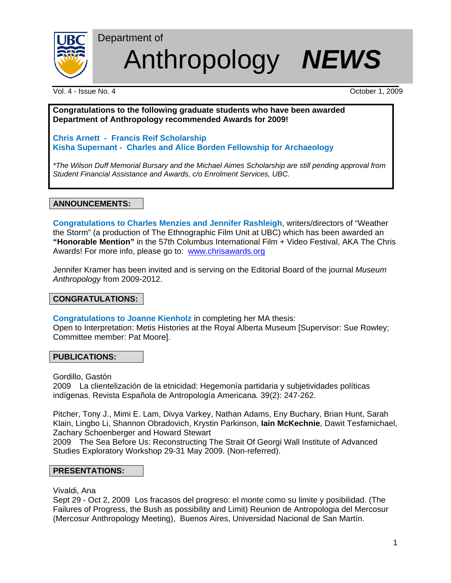

Anthropology *NEWS*

Vol. 4 - Issue No. 4 October 1, 2009

Department of

**Congratulations to the following graduate students who have been awarded Department of Anthropology recommended Awards for 2009!**

**Chris Arnett - Francis Reif Scholarship Kisha Supernant - Charles and Alice Borden Fellowship for Archaeology** 

*\*The Wilson Duff Memorial Bursary and the Michael Aimes Scholarship are still pending approval from Student Financial Assistance and Awards, c/o Enrolment Services, UBC.* 

**ANNOUNCEMENTS:**

**Congratulations to Charles Menzies and Jennifer Rashleigh**, writers/directors of "Weather the Storm" (a production of The Ethnographic Film Unit at UBC) which has been awarded an **"Honorable Mention"** in the 57th Columbus International Film + Video Festival, AKA The Chris Awards! For more info, please go to: www.chrisawards.org

Jennifer Kramer has been invited and is serving on the Editorial Board of the journal *Museum Anthropology* from 2009-2012.

# **CONGRATULATIONS:**

**Congratulations to Joanne Kienholz** in completing her MA thesis:

Open to Interpretation: Metis Histories at the Royal Alberta Museum [Supervisor: Sue Rowley; Committee member: Pat Moore].

## **PUBLICATIONS:**

Gordillo, Gastón

2009 La clientelización de la etnicidad: Hegemonía partidaria y subjetividades políticas indígenas. Revista Española de Antropología Americana*.* 39(2): 247-262.

Pitcher, Tony J., Mimi E. Lam, Divya Varkey, Nathan Adams, Eny Buchary, Brian Hunt, Sarah Klain, Lingbo Li, Shannon Obradovich, Krystin Parkinson, **Iain McKechnie**, Dawit Tesfamichael, Zachary Schoenberger and Howard Stewart

 2009 The Sea Before Us: Reconstructing The Strait Of Georgi Wall Institute of Advanced Studies Exploratory Workshop 29-31 May 2009. (Non-referred).

## **PRESENTATIONS:**

Vivaldi, Ana

Sept 29 - Oct 2, 2009 Los fracasos del progreso: el monte como su limite y posibilidad. (The Failures of Progress, the Bush as possibility and Limit) Reunion de Antropologia del Mercosur (Mercosur Anthropology Meeting), Buenos Aires, Universidad Nacional de San Martín.